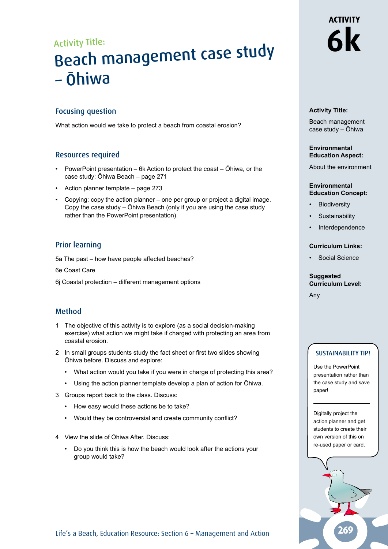## Activity Title: Beach management case study – Ōhiwa

#### Focusing question

What action would we take to protect a beach from coastal erosion?

#### Resources required

- PowerPoint presentation 6k Action to protect the coast Ōhiwa, or the case study: Ōhiwa Beach – page 271
- Action planner template page 273
- Copying: copy the action planner one per group or project a digital image. Copy the case study – Ōhiwa Beach (only if you are using the case study rather than the PowerPoint presentation).

#### Prior learning

5a The past – how have people affected beaches?

6e Coast Care

6j Coastal protection – different management options

#### Method

- 1 The objective of this activity is to explore (as a social decision-making exercise) what action we might take if charged with protecting an area from coastal erosion.
- 2 In small groups students study the fact sheet or first two slides showing Ōhiwa before. Discuss and explore:
	- What action would you take if you were in charge of protecting this area?
	- Using the action planner template develop a plan of action for Ōhiwa.
- 3 Groups report back to the class. Discuss:
	- How easy would these actions be to take?
	- Would they be controversial and create community conflict?
- 4 View the slide of Ōhiwa After. Discuss:
	- Do you think this is how the beach would look after the actions your group would take?

## **ACTIVITY 6k**

#### **Activity Title:**

Beach management case study – Ōhiwa

#### **Environmental Education Aspect:**

About the environment

#### **Environmental Education Concept:**

- **Biodiversity**
- **Sustainability**
- **Interdependence**

#### **Curriculum Links:**

• Social Science

#### **Suggested Curriculum Level:**

Any

#### SUSTAINABILITY TIP!

Use the PowerPoint presentation rather than the case study and save paper!

Digitally project the action planner and get students to create their own version of this on re-used paper or card.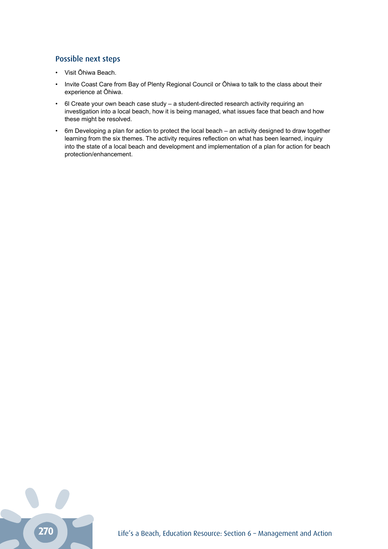### Possible next steps

- Visit Ōhiwa Beach.
- Invite Coast Care from Bay of Plenty Regional Council or Ōhiwa to talk to the class about their experience at Ōhiwa.
- 6l Create your own beach case study a student-directed research activity requiring an investigation into a local beach, how it is being managed, what issues face that beach and how these might be resolved.
- 6m Developing a plan for action to protect the local beach an activity designed to draw together learning from the six themes. The activity requires reflection on what has been learned, inquiry into the state of a local beach and development and implementation of a plan for action for beach protection/enhancement.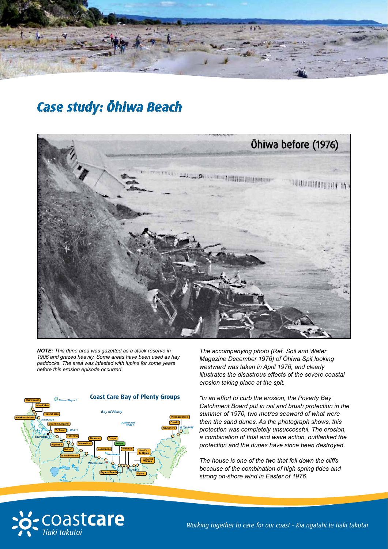

## *Case study: Ōhiwa Beach*



*NOTE: This dune area was gazetted as a stock reserve in 1906 and grazed heavily. Some areas have been used as hay paddocks. The area was infested with lupins for some years before this erosion episode occurred.* 



*The accompanying photo (Ref. Soil and Water Magazine December 1976) of Ōhiwa Spit looking westward was taken in April 1976, and clearly illustrates the disastrous effects of the severe coastal erosion taking place at the spit.*

*"In an effort to curb the erosion, the Poverty Bay Catchment Board put in rail and brush protection in the summer of 1970, two metres seaward of what were then the sand dunes. As the photograph shows, this protection was completely unsuccessful. The erosion, a combination of tidal and wave action, outflanked the protection and the dunes have since been destroyed.*

*The house is one of the two that fell down the cliffs because of the combination of high spring tides and strong on-shore wind in Easter of 1976.*



*Working together to care for our coast – Kia ngatahi te tiaki takutai*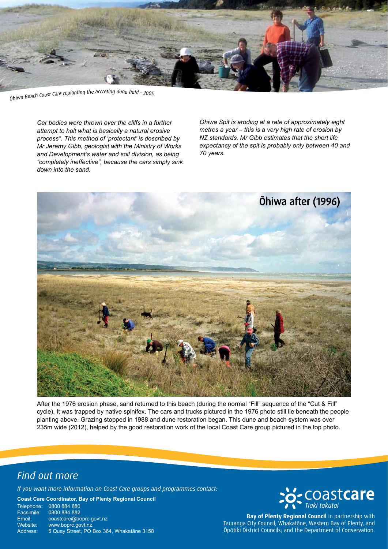

Ohiwa Beach Coast Care replanting the accreting dune field - 2005.

*Car bodies were thrown over the cliffs in a further attempt to halt what is basically a natural erosive process". This method of 'protectant' is described by Mr Jeremy Gibb, geologist with the Ministry of Works and Development's water and soil division, as being "completely ineffective", because the cars simply sink down into the sand.*

*Ōhiwa Spit is eroding at a rate of approximately eight metres a year – this is a very high rate of erosion by NZ standards. Mr Gibb estimates that the short life expectancy of the spit is probably only between 40 and 70 years.*



After the 1976 erosion phase, sand returned to this beach (during the normal "Fill" sequence of the "Cut & Fill" cycle). It was trapped by native spinifex. The cars and trucks pictured in the 1976 photo still lie beneath the people planting above. Grazing stopped in 1988 and dune restoration began. This dune and beach system was over 235m wide (2012), helped by the good restoration work of the local Coast Care group pictured in the top photo.

### *Find out more*

*If you want more information on Coast Care groups and programmes contact:*

**Coast Care Coordinator, Bay of Plenty Regional Council**

Telephone: 0800 884 880<br>Facsimile: 0800 884 882 0800 884 882 Email: coastcare@boprc.govt.nz<br>Website: www.boprc.govt.nz Website: www.boprc.govt.nz<br>Address: 5 Quay Street. PO 5 Quay Street, PO Box 364, Whakatāne 3158

# to Coastcare

**Bay of Plenty Regional Council** in partnership with Tauranga City Council; Whakatāne, Western Bay of Plenty, and Ōpōtiki District Councils; and the Department of Conservation.